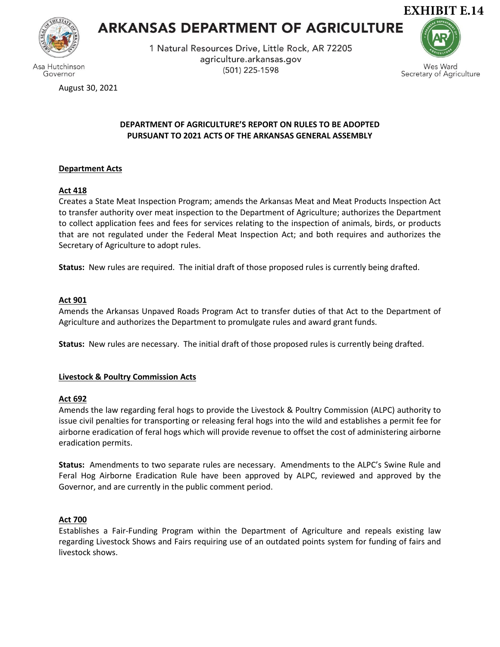

Governor

# **ARKANSAS DEPARTMENT OF AGRICULTURE**

1 Natural Resources Drive, Little Rock, AR 72205 agriculture.arkansas.gov (501) 225-1598



Wes Ward Secretary of Agriculture

August 30, 2021

# **DEPARTMENT OF AGRICULTURE'S REPORT ON RULES TO BE ADOPTED PURSUANT TO 2021 ACTS OF THE ARKANSAS GENERAL ASSEMBLY**

## **Department Acts**

## **Act 418**

Creates a State Meat Inspection Program; amends the Arkansas Meat and Meat Products Inspection Act to transfer authority over meat inspection to the Department of Agriculture; authorizes the Department to collect application fees and fees for services relating to the inspection of animals, birds, or products that are not regulated under the Federal Meat Inspection Act; and both requires and authorizes the Secretary of Agriculture to adopt rules.

**Status:** New rules are required. The initial draft of those proposed rules is currently being drafted.

## **Act 901**

Amends the Arkansas Unpaved Roads Program Act to transfer duties of that Act to the Department of Agriculture and authorizes the Department to promulgate rules and award grant funds.

**Status:** New rules are necessary. The initial draft of those proposed rules is currently being drafted.

## **Livestock & Poultry Commission Acts**

## **Act 692**

Amends the law regarding feral hogs to provide the Livestock & Poultry Commission (ALPC) authority to issue civil penalties for transporting or releasing feral hogs into the wild and establishes a permit fee for airborne eradication of feral hogs which will provide revenue to offset the cost of administering airborne eradication permits.

**Status:** Amendments to two separate rules are necessary. Amendments to the ALPC's Swine Rule and Feral Hog Airborne Eradication Rule have been approved by ALPC, reviewed and approved by the Governor, and are currently in the public comment period.

## **Act 700**

Establishes a Fair-Funding Program within the Department of Agriculture and repeals existing law regarding Livestock Shows and Fairs requiring use of an outdated points system for funding of fairs and livestock shows.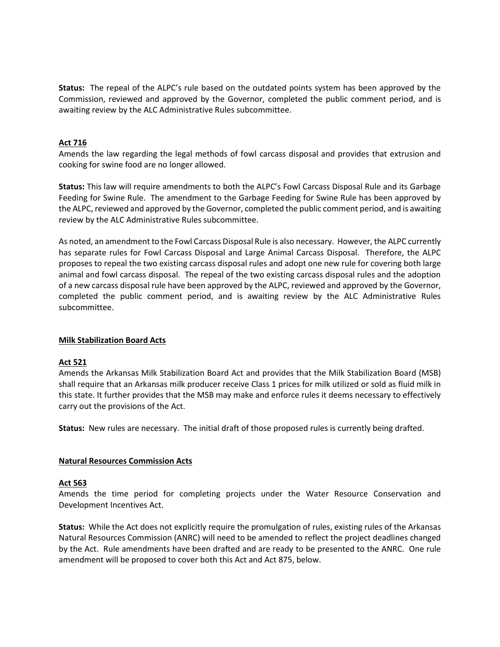**Status:** The repeal of the ALPC's rule based on the outdated points system has been approved by the Commission, reviewed and approved by the Governor, completed the public comment period, and is awaiting review by the ALC Administrative Rules subcommittee.

#### **Act 716**

Amends the law regarding the legal methods of fowl carcass disposal and provides that extrusion and cooking for swine food are no longer allowed.

**Status:** This law will require amendments to both the ALPC's Fowl Carcass Disposal Rule and its Garbage Feeding for Swine Rule. The amendment to the Garbage Feeding for Swine Rule has been approved by the ALPC, reviewed and approved by the Governor, completed the public comment period, and is awaiting review by the ALC Administrative Rules subcommittee.

As noted, an amendment to the Fowl Carcass Disposal Rule is also necessary. However, the ALPC currently has separate rules for Fowl Carcass Disposal and Large Animal Carcass Disposal. Therefore, the ALPC proposes to repeal the two existing carcass disposal rules and adopt one new rule for covering both large animal and fowl carcass disposal. The repeal of the two existing carcass disposal rules and the adoption of a new carcass disposal rule have been approved by the ALPC, reviewed and approved by the Governor, completed the public comment period, and is awaiting review by the ALC Administrative Rules subcommittee.

#### **Milk Stabilization Board Acts**

## **Act 521**

Amends the Arkansas Milk Stabilization Board Act and provides that the Milk Stabilization Board (MSB) shall require that an Arkansas milk producer receive Class 1 prices for milk utilized or sold as fluid milk in this state. It further provides that the MSB may make and enforce rules it deems necessary to effectively carry out the provisions of the Act.

**Status:** New rules are necessary. The initial draft of those proposed rules is currently being drafted.

#### **Natural Resources Commission Acts**

#### **Act 563**

Amends the time period for completing projects under the Water Resource Conservation and Development Incentives Act.

**Status:** While the Act does not explicitly require the promulgation of rules, existing rules of the Arkansas Natural Resources Commission (ANRC) will need to be amended to reflect the project deadlines changed by the Act. Rule amendments have been drafted and are ready to be presented to the ANRC. One rule amendment will be proposed to cover both this Act and Act 875, below.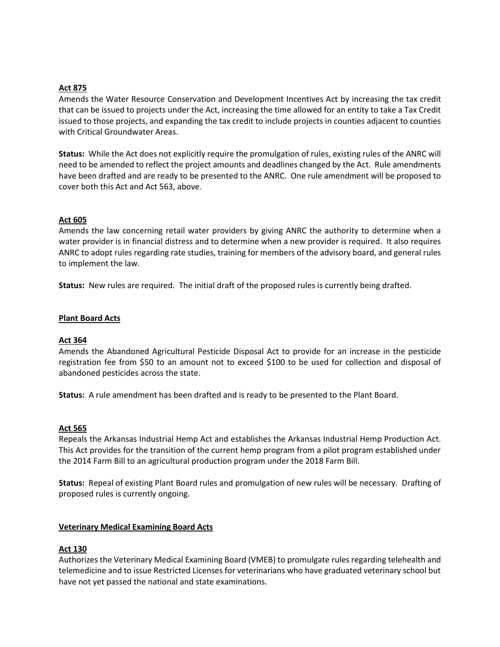# **Act 875**

Amends the Water Resource Conservation and Development Incentives Act by increasing the tax credit that can be issued to projects under the Act, increasing the time allowed for an entity to take a Tax Credit issued to those projects, and expanding the tax credit to include projects in counties adjacent to counties with Critical Groundwater Areas.

**Status:** While the Act does not explicitly require the promulgation of rules, existing rules of the ANRC will need to be amended to reflect the project amounts and deadlines changed by the Act. Rule amendments have been drafted and are ready to be presented to the ANRC. One rule amendment will be proposed to cover both this Act and Act 563, above.

## **Act 605**

Amends the law concerning retail water providers by giving ANRC the authority to determine when a water provider is in financial distress and to determine when a new provider is required. It also requires ANRC to adopt rules regarding rate studies, training for members of the advisory board, and general rules to implement the law.

**Status:** New rules are required. The initial draft of the proposed rules is currently being drafted.

#### **Plant Board Acts**

## **Act 364**

Amends the Abandoned Agricultural Pesticide Disposal Act to provide for an increase in the pesticide registration fee from \$50 to an amount not to exceed \$100 to be used for collection and disposal of abandoned pesticides across the state.

**Status:** A rule amendment has been drafted and is ready to be presented to the Plant Board.

#### **Act 565**

Repeals the Arkansas Industrial Hemp Act and establishes the Arkansas Industrial Hemp Production Act. This Act provides for the transition of the current hemp program from a pilot program established under the 2014 Farm Bill to an agricultural production program under the 2018 Farm Bill.

**Status:** Repeal of existing Plant Board rules and promulgation of new rules will be necessary. Drafting of proposed rules is currently ongoing.

#### **Veterinary Medical Examining Board Acts**

#### **Act 130**

Authorizes the Veterinary Medical Examining Board (VMEB) to promulgate rules regarding telehealth and telemedicine and to issue Restricted Licenses for veterinarians who have graduated veterinary school but have not yet passed the national and state examinations.